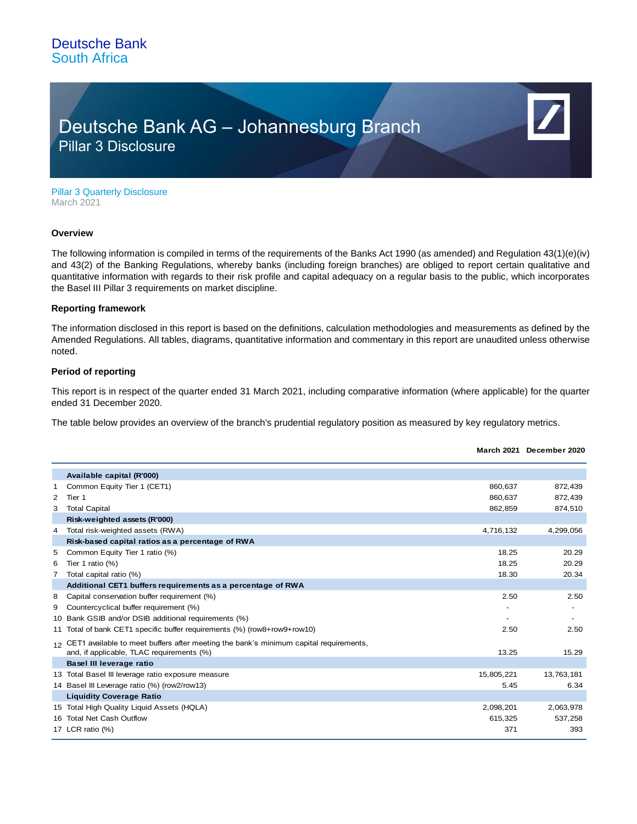# Deutsche Bank AG – Johannesburg Branch Pillar 3 Disclosure

Pillar 3 Quarterly Disclosure March 2021

#### **Overview**

The following information is compiled in terms of the requirements of the Banks Act 1990 (as amended) and Regulation 43(1)(e)(iv) and 43(2) of the Banking Regulations, whereby banks (including foreign branches) are obliged to report certain qualitative and quantitative information with regards to their risk profile and capital adequacy on a regular basis to the public, which incorporates the Basel III Pillar 3 requirements on market discipline.

### **Reporting framework**

The information disclosed in this report is based on the definitions, calculation methodologies and measurements as defined by the Amended Regulations. All tables, diagrams, quantitative information and commentary in this report are unaudited unless otherwise noted.

### **Period of reporting**

This report is in respect of the quarter ended 31 March 2021, including comparative information (where applicable) for the quarter ended 31 December 2020.

The table below provides an overview of the branch's prudential regulatory position as measured by key regulatory metrics.

|   |                                                                                                                                       |            | March 2021 December 2020 |
|---|---------------------------------------------------------------------------------------------------------------------------------------|------------|--------------------------|
|   | Available capital (R'000)                                                                                                             |            |                          |
| 1 | Common Equity Tier 1 (CET1)                                                                                                           | 860,637    | 872,439                  |
| 2 | Tier 1                                                                                                                                | 860,637    | 872,439                  |
| 3 | <b>Total Capital</b>                                                                                                                  | 862,859    | 874,510                  |
|   | Risk-weighted assets (R'000)                                                                                                          |            |                          |
| 4 | Total risk-weighted assets (RWA)                                                                                                      | 4,716,132  | 4,299,056                |
|   | Risk-based capital ratios as a percentage of RWA                                                                                      |            |                          |
| 5 | Common Equity Tier 1 ratio (%)                                                                                                        | 18.25      | 20.29                    |
| 6 | Tier 1 ratio (%)                                                                                                                      | 18.25      | 20.29                    |
| 7 | Total capital ratio (%)                                                                                                               | 18.30      | 20.34                    |
|   | Additional CET1 buffers requirements as a percentage of RWA                                                                           |            |                          |
| 8 | Capital conservation buffer requirement (%)                                                                                           | 2.50       | 2.50                     |
| 9 | Countercyclical buffer requirement (%)                                                                                                |            |                          |
|   | 10 Bank GSIB and/or DSIB additional requirements (%)                                                                                  |            |                          |
|   | 11 Total of bank CET1 specific buffer requirements (%) (row8+row9+row10)                                                              | 2.50       | 2.50                     |
|   | 12 CET1 available to meet buffers after meeting the bank's minimum capital requirements,<br>and, if applicable, TLAC requirements (%) | 13.25      | 15.29                    |
|   | Basel III leverage ratio                                                                                                              |            |                          |
|   | 13 Total Basel III leverage ratio exposure measure                                                                                    | 15,805,221 | 13,763,181               |
|   | 14 Basel III Leverage ratio (%) (row2/row13)                                                                                          | 5.45       | 6.34                     |
|   | <b>Liquidity Coverage Ratio</b>                                                                                                       |            |                          |
|   | 15 Total High Quality Liquid Assets (HQLA)                                                                                            | 2,098,201  | 2,063,978                |
|   | 16 Total Net Cash Outflow                                                                                                             | 615,325    | 537,258                  |
|   | 17 LCR ratio (%)                                                                                                                      | 371        | 393                      |
|   |                                                                                                                                       |            |                          |